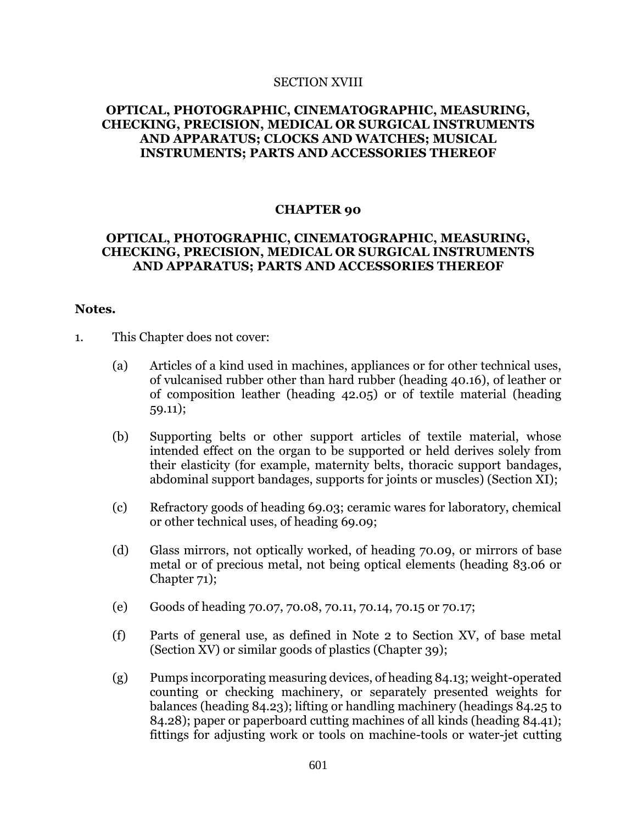#### SECTION XVIII

## **OPTICAL, PHOTOGRAPHIC, CINEMATOGRAPHIC, MEASURING, CHECKING, PRECISION, MEDICAL OR SURGICAL INSTRUMENTS AND APPARATUS; CLOCKS AND WATCHES; MUSICAL INSTRUMENTS; PARTS AND ACCESSORIES THEREOF**

## **CHAPTER 90**

# **OPTICAL, PHOTOGRAPHIC, CINEMATOGRAPHIC, MEASURING, CHECKING, PRECISION, MEDICAL OR SURGICAL INSTRUMENTS AND APPARATUS; PARTS AND ACCESSORIES THEREOF**

### **Notes.**

- 1. This Chapter does not cover:
	- (a) Articles of a kind used in machines, appliances or for other technical uses, of vulcanised rubber other than hard rubber (heading 40.16), of leather or of composition leather (heading 42.05) or of textile material (heading 59.11);
	- (b) Supporting belts or other support articles of textile material, whose intended effect on the organ to be supported or held derives solely from their elasticity (for example, maternity belts, thoracic support bandages, abdominal support bandages, supports for joints or muscles) (Section XI);
	- (c) Refractory goods of heading 69.03; ceramic wares for laboratory, chemical or other technical uses, of heading 69.09;
	- (d) Glass mirrors, not optically worked, of heading 70.09, or mirrors of base metal or of precious metal, not being optical elements (heading 83.06 or Chapter 71);
	- (e) Goods of heading 70.07, 70.08, 70.11, 70.14, 70.15 or 70.17;
	- (f) Parts of general use, as defined in Note 2 to Section XV, of base metal (Section XV) or similar goods of plastics (Chapter 39);
	- (g) Pumps incorporating measuring devices, of heading 84.13; weight-operated counting or checking machinery, or separately presented weights for balances (heading 84.23); lifting or handling machinery (headings 84.25 to 84.28); paper or paperboard cutting machines of all kinds (heading 84.41); fittings for adjusting work or tools on machine-tools or water-jet cutting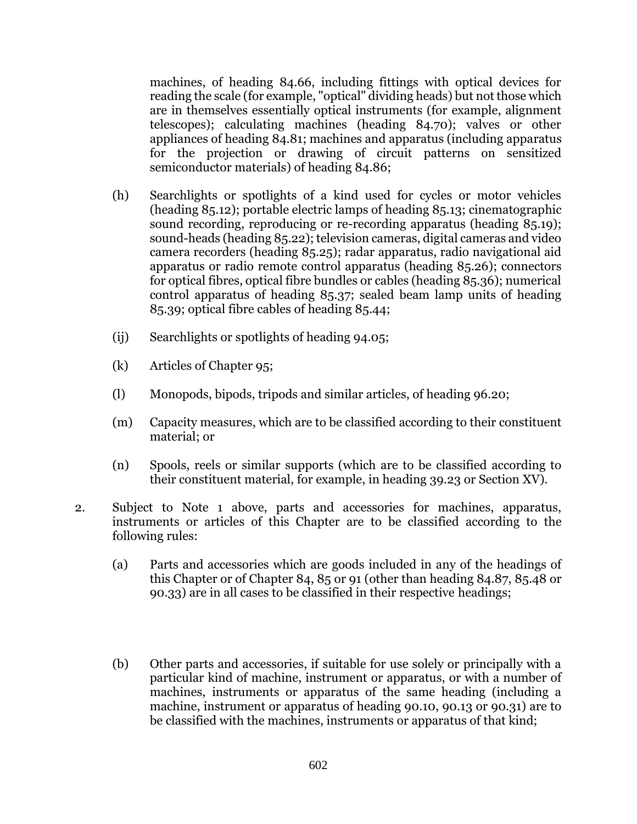machines, of heading 84.66, including fittings with optical devices for reading the scale (for example, "optical" dividing heads) but not those which are in themselves essentially optical instruments (for example, alignment telescopes); calculating machines (heading 84.70); valves or other appliances of heading 84.81; machines and apparatus (including apparatus for the projection or drawing of circuit patterns on sensitized semiconductor materials) of heading 84.86;

- (h) Searchlights or spotlights of a kind used for cycles or motor vehicles (heading 85.12); portable electric lamps of heading 85.13; cinematographic sound recording, reproducing or re-recording apparatus (heading 85.19); sound-heads (heading 85.22); television cameras, digital cameras and video camera recorders (heading 85.25); radar apparatus, radio navigational aid apparatus or radio remote control apparatus (heading 85.26); connectors for optical fibres, optical fibre bundles or cables (heading 85.36); numerical control apparatus of heading 85.37; sealed beam lamp units of heading 85.39; optical fibre cables of heading 85.44;
- (ij) Searchlights or spotlights of heading 94.05;
- (k) Articles of Chapter 95;
- (l) Monopods, bipods, tripods and similar articles, of heading 96.20;
- (m) Capacity measures, which are to be classified according to their constituent material; or
- (n) Spools, reels or similar supports (which are to be classified according to their constituent material, for example, in heading 39.23 or Section XV).
- 2. Subject to Note 1 above, parts and accessories for machines, apparatus, instruments or articles of this Chapter are to be classified according to the following rules:
	- (a) Parts and accessories which are goods included in any of the headings of this Chapter or of Chapter 84, 85 or 91 (other than heading 84.87, 85.48 or 90.33) are in all cases to be classified in their respective headings;
	- (b) Other parts and accessories, if suitable for use solely or principally with a particular kind of machine, instrument or apparatus, or with a number of machines, instruments or apparatus of the same heading (including a machine, instrument or apparatus of heading 90.10, 90.13 or 90.31) are to be classified with the machines, instruments or apparatus of that kind;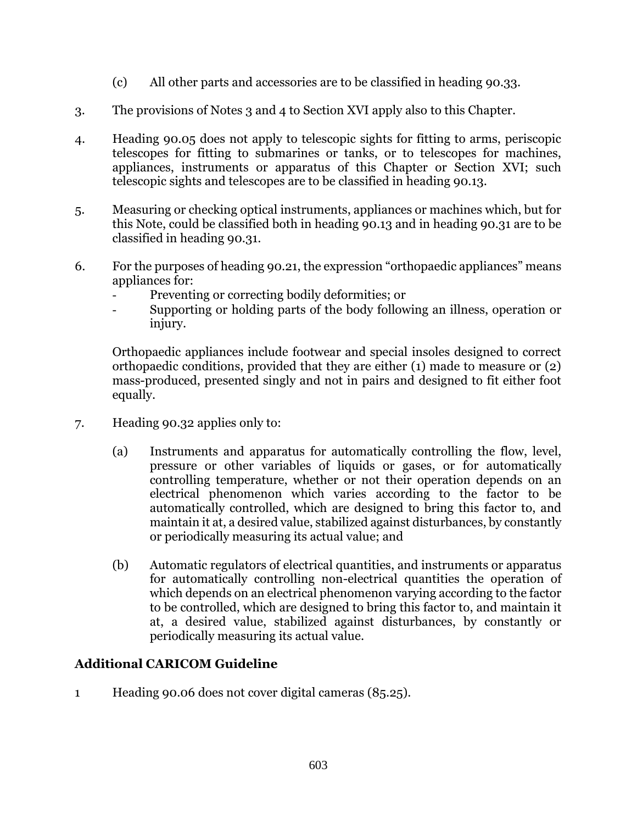- (c) All other parts and accessories are to be classified in heading 90.33.
- 3. The provisions of Notes 3 and 4 to Section XVI apply also to this Chapter.
- 4. Heading 90.05 does not apply to telescopic sights for fitting to arms, periscopic telescopes for fitting to submarines or tanks, or to telescopes for machines, appliances, instruments or apparatus of this Chapter or Section XVI; such telescopic sights and telescopes are to be classified in heading 90.13.
- 5. Measuring or checking optical instruments, appliances or machines which, but for this Note, could be classified both in heading 90.13 and in heading 90.31 are to be classified in heading 90.31.
- 6. For the purposes of heading 90.21, the expression "orthopaedic appliances" means appliances for:
	- Preventing or correcting bodily deformities; or
	- Supporting or holding parts of the body following an illness, operation or injury.

Orthopaedic appliances include footwear and special insoles designed to correct orthopaedic conditions, provided that they are either (1) made to measure or (2) mass-produced, presented singly and not in pairs and designed to fit either foot equally.

- 7. Heading 90.32 applies only to:
	- (a) Instruments and apparatus for automatically controlling the flow, level, pressure or other variables of liquids or gases, or for automatically controlling temperature, whether or not their operation depends on an electrical phenomenon which varies according to the factor to be automatically controlled, which are designed to bring this factor to, and maintain it at, a desired value, stabilized against disturbances, by constantly or periodically measuring its actual value; and
	- (b) Automatic regulators of electrical quantities, and instruments or apparatus for automatically controlling non-electrical quantities the operation of which depends on an electrical phenomenon varying according to the factor to be controlled, which are designed to bring this factor to, and maintain it at, a desired value, stabilized against disturbances, by constantly or periodically measuring its actual value.

# **Additional CARICOM Guideline**

1 Heading 90.06 does not cover digital cameras (85.25).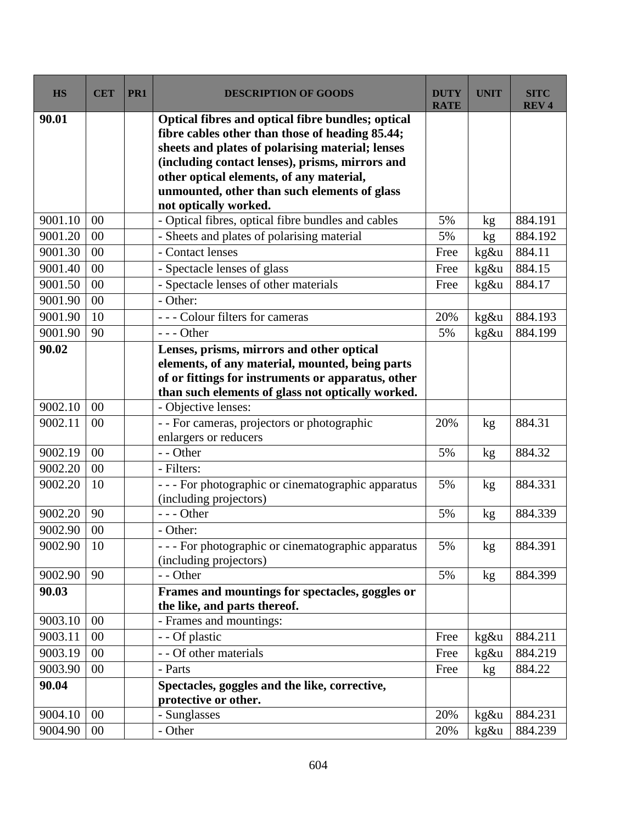| <b>HS</b> | <b>CET</b> | PR1 | <b>DESCRIPTION OF GOODS</b>                                                                                                                                                                                                                                                                             | <b>DUTY</b><br><b>RATE</b> | <b>UNIT</b> | <b>SITC</b><br><b>REV<sub>4</sub></b> |
|-----------|------------|-----|---------------------------------------------------------------------------------------------------------------------------------------------------------------------------------------------------------------------------------------------------------------------------------------------------------|----------------------------|-------------|---------------------------------------|
| 90.01     |            |     | Optical fibres and optical fibre bundles; optical<br>fibre cables other than those of heading 85.44;<br>sheets and plates of polarising material; lenses<br>(including contact lenses), prisms, mirrors and<br>other optical elements, of any material,<br>unmounted, other than such elements of glass |                            |             |                                       |
| 9001.10   | 00         |     | not optically worked.<br>- Optical fibres, optical fibre bundles and cables                                                                                                                                                                                                                             | 5%                         | kg          | 884.191                               |
| 9001.20   | 00         |     | - Sheets and plates of polarising material                                                                                                                                                                                                                                                              | 5%                         | kg          | 884.192                               |
| 9001.30   | 00         |     | - Contact lenses                                                                                                                                                                                                                                                                                        | Free                       | kg&u        | 884.11                                |
| 9001.40   | 00         |     | - Spectacle lenses of glass                                                                                                                                                                                                                                                                             | Free                       | kg&u        | 884.15                                |
| 9001.50   | 00         |     | - Spectacle lenses of other materials                                                                                                                                                                                                                                                                   | Free                       | kg&u        | 884.17                                |
| 9001.90   | 00         |     | - Other:                                                                                                                                                                                                                                                                                                |                            |             |                                       |
| 9001.90   | 10         |     | --- Colour filters for cameras                                                                                                                                                                                                                                                                          | 20%                        | kg&u        | 884.193                               |
| 9001.90   | 90         |     | $--$ Other                                                                                                                                                                                                                                                                                              | 5%                         | kg&u        | 884.199                               |
| 90.02     |            |     | Lenses, prisms, mirrors and other optical<br>elements, of any material, mounted, being parts<br>of or fittings for instruments or apparatus, other<br>than such elements of glass not optically worked.                                                                                                 |                            |             |                                       |
| 9002.10   | 00         |     | - Objective lenses:                                                                                                                                                                                                                                                                                     |                            |             |                                       |
| 9002.11   | 00         |     | - - For cameras, projectors or photographic<br>enlargers or reducers                                                                                                                                                                                                                                    | 20%                        | kg          | 884.31                                |
| 9002.19   | 00         |     | - - Other                                                                                                                                                                                                                                                                                               | 5%                         | kg          | 884.32                                |
| 9002.20   | 00         |     | - Filters:                                                                                                                                                                                                                                                                                              |                            |             |                                       |
| 9002.20   | 10         |     | - - - For photographic or cinematographic apparatus<br>(including projectors)                                                                                                                                                                                                                           | 5%                         | kg          | 884.331                               |
| 9002.20   | 90         |     | $--$ Other                                                                                                                                                                                                                                                                                              | 5%                         | kg          | 884.339                               |
| 9002.90   | 00         |     | - Other:                                                                                                                                                                                                                                                                                                |                            |             |                                       |
| 9002.90   | 10         |     | - - - For photographic or cinematographic apparatus<br>(including projectors)                                                                                                                                                                                                                           | 5%                         | kg          | 884.391                               |
| 9002.90   | 90         |     | - - Other                                                                                                                                                                                                                                                                                               | 5%                         | kg          | 884.399                               |
| 90.03     |            |     | Frames and mountings for spectacles, goggles or<br>the like, and parts thereof.                                                                                                                                                                                                                         |                            |             |                                       |
| 9003.10   | 00         |     | - Frames and mountings:                                                                                                                                                                                                                                                                                 |                            |             |                                       |
| 9003.11   | 00         |     | - - Of plastic                                                                                                                                                                                                                                                                                          | Free                       | kg&u        | 884.211                               |
| 9003.19   | 00         |     | - - Of other materials                                                                                                                                                                                                                                                                                  | Free                       | $kg\&u$     | 884.219                               |
| 9003.90   | 00         |     | - Parts                                                                                                                                                                                                                                                                                                 | Free                       | kg          | 884.22                                |
| 90.04     |            |     | Spectacles, goggles and the like, corrective,<br>protective or other.                                                                                                                                                                                                                                   |                            |             |                                       |
| 9004.10   | 00         |     | - Sunglasses                                                                                                                                                                                                                                                                                            | 20%                        | kg&u        | 884.231                               |
| 9004.90   | 00         |     | - Other                                                                                                                                                                                                                                                                                                 | 20%                        | kg&u        | 884.239                               |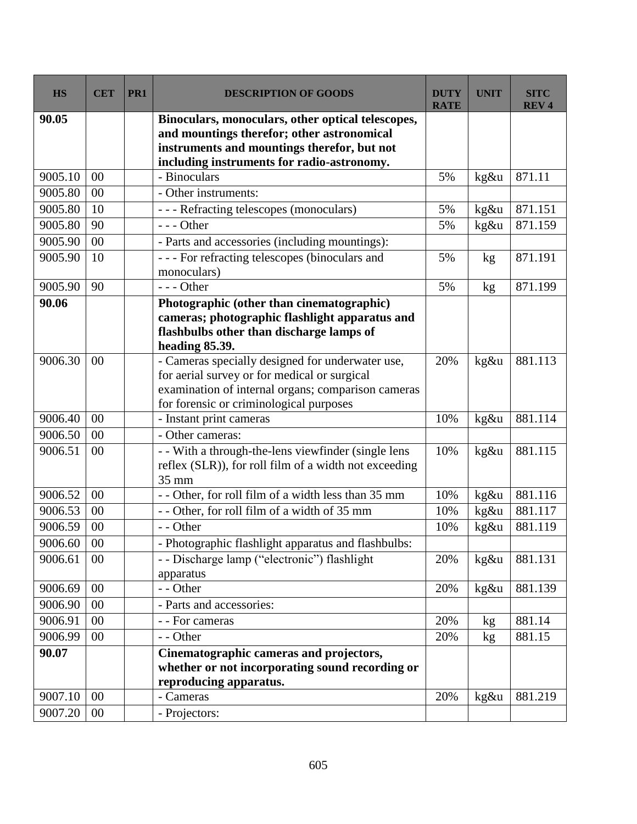| <b>HS</b>          | <b>CET</b>     | PR <sub>1</sub> | <b>DESCRIPTION OF GOODS</b>                                                               | <b>DUTY</b><br><b>RATE</b> | <b>UNIT</b> | <b>SITC</b><br><b>REV4</b> |
|--------------------|----------------|-----------------|-------------------------------------------------------------------------------------------|----------------------------|-------------|----------------------------|
| 90.05              |                |                 | Binoculars, monoculars, other optical telescopes,                                         |                            |             |                            |
|                    |                |                 | and mountings therefor; other astronomical<br>instruments and mountings therefor, but not |                            |             |                            |
|                    |                |                 | including instruments for radio-astronomy.                                                |                            |             |                            |
| 9005.10            | 00             |                 | - Binoculars                                                                              | 5%                         | kg&u        | 871.11                     |
| 9005.80            | 00             |                 | - Other instruments:                                                                      |                            |             |                            |
| 9005.80            | 10             |                 | --- Refracting telescopes (monoculars)                                                    | 5%                         | kg&u        | 871.151                    |
| 9005.80            | 90             |                 | $--$ Other                                                                                | 5%                         | kg&u        | 871.159                    |
| 9005.90            | 00             |                 | - Parts and accessories (including mountings):                                            |                            |             |                            |
| 9005.90            | 10             |                 | --- For refracting telescopes (binoculars and                                             | 5%                         | kg          | 871.191                    |
|                    |                |                 | monoculars)                                                                               |                            |             |                            |
| 9005.90            | 90             |                 | $--$ Other                                                                                | 5%                         | kg          | 871.199                    |
| 90.06              |                |                 | Photographic (other than cinematographic)                                                 |                            |             |                            |
|                    |                |                 | cameras; photographic flashlight apparatus and                                            |                            |             |                            |
|                    |                |                 | flashbulbs other than discharge lamps of<br>heading 85.39.                                |                            |             |                            |
| 9006.30            | 0 <sup>0</sup> |                 | - Cameras specially designed for underwater use,                                          | 20%                        | kg&u        | 881.113                    |
|                    |                |                 | for aerial survey or for medical or surgical                                              |                            |             |                            |
|                    |                |                 | examination of internal organs; comparison cameras                                        |                            |             |                            |
|                    |                |                 | for forensic or criminological purposes                                                   |                            |             |                            |
| 9006.40            | 00             |                 | - Instant print cameras                                                                   | 10%                        | kg&u        | 881.114                    |
| 9006.50            | $00\,$         |                 | - Other cameras:                                                                          |                            |             |                            |
| 9006.51            | $00\,$         |                 | - - With a through-the-lens viewfinder (single lens                                       | 10%                        | $kg\&u$     | 881.115                    |
|                    |                |                 | reflex (SLR)), for roll film of a width not exceeding                                     |                            |             |                            |
|                    |                |                 | 35 mm                                                                                     |                            |             |                            |
| 9006.52<br>9006.53 | 00<br>$00\,$   |                 | - - Other, for roll film of a width less than 35 mm                                       | 10%<br>10%                 | kg&u        | 881.116<br>881.117         |
| 9006.59            | 00             |                 | -- Other, for roll film of a width of 35 mm<br>- - Other                                  | 10%                        | kg&u        | 881.119                    |
|                    |                |                 |                                                                                           |                            | kg&u        |                            |
| 9006.60            | $00\,$         |                 | - Photographic flashlight apparatus and flashbulbs:                                       |                            |             |                            |
| 9006.61            | $00\,$         |                 | - - Discharge lamp ("electronic") flashlight<br>apparatus                                 | 20%                        | kg&u        | 881.131                    |
| 9006.69            | $00\,$         |                 | - - Other                                                                                 | 20%                        | $kg\&u$     | 881.139                    |
| 9006.90            | $00\,$         |                 | - Parts and accessories:                                                                  |                            |             |                            |
| 9006.91            | $00\,$         |                 | - - For cameras                                                                           | 20%                        | kg          | 881.14                     |
| 9006.99            | 00             |                 | - - Other                                                                                 | 20%                        | kg          | 881.15                     |
| 90.07              |                |                 | Cinematographic cameras and projectors,                                                   |                            |             |                            |
|                    |                |                 | whether or not incorporating sound recording or                                           |                            |             |                            |
|                    |                |                 | reproducing apparatus.                                                                    |                            |             |                            |
| 9007.10            | $00\,$         |                 | - Cameras                                                                                 | 20%                        | $kg\&u$     | 881.219                    |
| 9007.20            | $00\,$         |                 | - Projectors:                                                                             |                            |             |                            |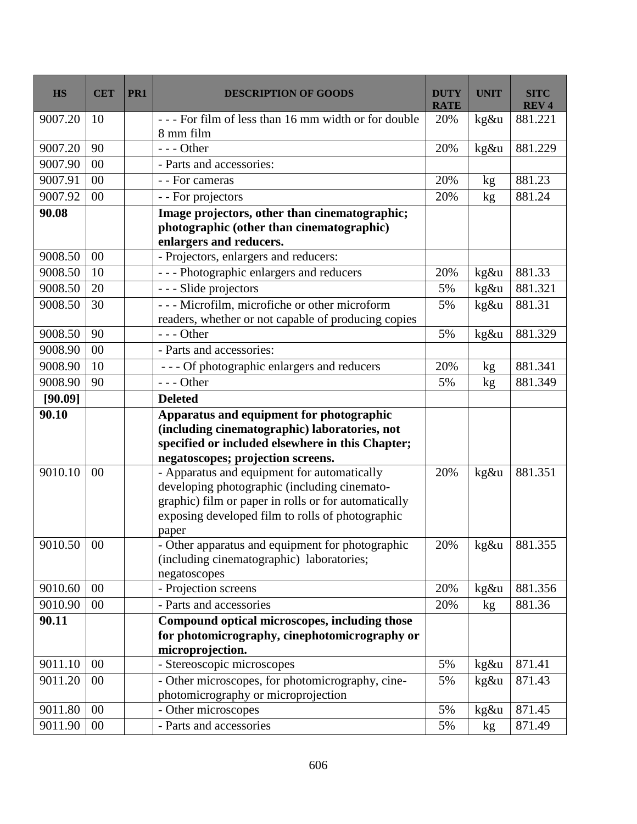| <b>HS</b> | <b>CET</b> | PR <sub>1</sub> | <b>DESCRIPTION OF GOODS</b>                                                                                                                                                                                      | <b>DUTY</b><br><b>RATE</b> | <b>UNIT</b> | SITC<br><b>REV4</b> |
|-----------|------------|-----------------|------------------------------------------------------------------------------------------------------------------------------------------------------------------------------------------------------------------|----------------------------|-------------|---------------------|
| 9007.20   | 10         |                 | --- For film of less than 16 mm width or for double<br>8 mm film                                                                                                                                                 | 20%                        | kg&u        | 881.221             |
| 9007.20   | 90         |                 | $--$ Other                                                                                                                                                                                                       | 20%                        | kg&u        | 881.229             |
| 9007.90   | $00\,$     |                 | - Parts and accessories:                                                                                                                                                                                         |                            |             |                     |
| 9007.91   | 00         |                 | - - For cameras                                                                                                                                                                                                  | 20%                        | kg          | 881.23              |
| 9007.92   | 00         |                 | - - For projectors                                                                                                                                                                                               | 20%                        | kg          | 881.24              |
| 90.08     |            |                 | Image projectors, other than cinematographic;<br>photographic (other than cinematographic)<br>enlargers and reducers.                                                                                            |                            |             |                     |
| 9008.50   | 00         |                 | - Projectors, enlargers and reducers:                                                                                                                                                                            |                            |             |                     |
| 9008.50   | 10         |                 | --- Photographic enlargers and reducers                                                                                                                                                                          | 20%                        | kg&u        | 881.33              |
| 9008.50   | 20         |                 | --- Slide projectors                                                                                                                                                                                             | 5%                         | kg&u        | 881.321             |
| 9008.50   | 30         |                 | --- Microfilm, microfiche or other microform<br>readers, whether or not capable of producing copies                                                                                                              | 5%                         | kg&u        | 881.31              |
| 9008.50   | 90         |                 | $--$ Other                                                                                                                                                                                                       | 5%                         | $kg\&u$     | 881.329             |
| 9008.90   | $00\,$     |                 | - Parts and accessories:                                                                                                                                                                                         |                            |             |                     |
| 9008.90   | 10         |                 | --- Of photographic enlargers and reducers                                                                                                                                                                       | 20%                        | kg          | 881.341             |
| 9008.90   | 90         |                 | $--$ Other                                                                                                                                                                                                       | 5%                         | kg          | 881.349             |
| [90.09]   |            |                 | <b>Deleted</b>                                                                                                                                                                                                   |                            |             |                     |
| 90.10     |            |                 | Apparatus and equipment for photographic<br>(including cinematographic) laboratories, not<br>specified or included elsewhere in this Chapter;<br>negatoscopes; projection screens.                               |                            |             |                     |
| 9010.10   | $00\,$     |                 | - Apparatus and equipment for automatically<br>developing photographic (including cinemato-<br>graphic) film or paper in rolls or for automatically<br>exposing developed film to rolls of photographic<br>paper | 20%                        | kg&u        | 881.351             |
| 9010.50   | $00\,$     |                 | - Other apparatus and equipment for photographic<br>(including cinematographic) laboratories;<br>negatoscopes                                                                                                    | 20%                        | kg&u        | 881.355             |
| 9010.60   | $00\,$     |                 | - Projection screens                                                                                                                                                                                             | 20%                        | $kg\&u$     | 881.356             |
| 9010.90   | $00\,$     |                 | - Parts and accessories                                                                                                                                                                                          | 20%                        | kg          | 881.36              |
| 90.11     |            |                 | Compound optical microscopes, including those<br>for photomicrography, cinephotomicrography or<br>microprojection.                                                                                               |                            |             |                     |
| 9011.10   | $00\,$     |                 | - Stereoscopic microscopes                                                                                                                                                                                       | 5%                         | kg&u        | 871.41              |
| 9011.20   | $00\,$     |                 | - Other microscopes, for photomicrography, cine-<br>photomicrography or microprojection                                                                                                                          | 5%                         | $kg\&u$     | 871.43              |
| 9011.80   | $00\,$     |                 | - Other microscopes                                                                                                                                                                                              | 5%                         | kg&u        | 871.45              |
| 9011.90   | $00\,$     |                 | - Parts and accessories                                                                                                                                                                                          | 5%                         | kg          | 871.49              |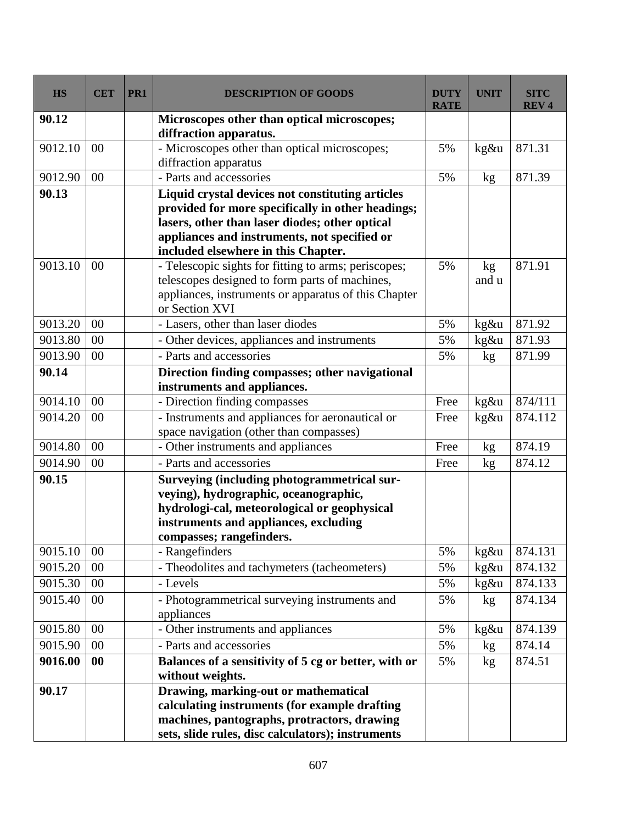| <b>HS</b> | <b>CET</b> | PR1 | <b>DESCRIPTION OF GOODS</b>                                                    | <b>DUTY</b><br><b>RATE</b> | <b>UNIT</b> | <b>SITC</b><br><b>REV4</b> |
|-----------|------------|-----|--------------------------------------------------------------------------------|----------------------------|-------------|----------------------------|
| 90.12     |            |     | Microscopes other than optical microscopes;<br>diffraction apparatus.          |                            |             |                            |
| 9012.10   | 00         |     | - Microscopes other than optical microscopes;                                  | 5%                         | kg&u        | 871.31                     |
|           |            |     | diffraction apparatus                                                          |                            |             |                            |
| 9012.90   | 00         |     | - Parts and accessories                                                        | 5%                         | kg          | 871.39                     |
| 90.13     |            |     | Liquid crystal devices not constituting articles                               |                            |             |                            |
|           |            |     | provided for more specifically in other headings;                              |                            |             |                            |
|           |            |     | lasers, other than laser diodes; other optical                                 |                            |             |                            |
|           |            |     | appliances and instruments, not specified or                                   |                            |             |                            |
|           |            |     | included elsewhere in this Chapter.                                            |                            |             |                            |
| 9013.10   | 00         |     | - Telescopic sights for fitting to arms; periscopes;                           | 5%                         | kg          | 871.91                     |
|           |            |     | telescopes designed to form parts of machines,                                 |                            | and u       |                            |
|           |            |     | appliances, instruments or apparatus of this Chapter                           |                            |             |                            |
| 9013.20   | 00         |     | or Section XVI                                                                 | 5%                         |             |                            |
|           |            |     | - Lasers, other than laser diodes                                              |                            | kg&u        | 871.92                     |
| 9013.80   | 00         |     | - Other devices, appliances and instruments                                    | 5%                         | kg&u        | 871.93                     |
| 9013.90   | 00         |     | - Parts and accessories                                                        | 5%                         | kg          | 871.99                     |
| 90.14     |            |     | Direction finding compasses; other navigational<br>instruments and appliances. |                            |             |                            |
| 9014.10   | 00         |     | - Direction finding compasses                                                  | Free                       | kg&u        | 874/111                    |
| 9014.20   | 00         |     | - Instruments and appliances for aeronautical or                               | Free                       | kg&u        | 874.112                    |
|           |            |     | space navigation (other than compasses)                                        |                            |             |                            |
| 9014.80   | 00         |     | - Other instruments and appliances                                             | Free                       | kg          | 874.19                     |
| 9014.90   | 00         |     | - Parts and accessories                                                        | Free                       | kg          | 874.12                     |
| 90.15     |            |     | Surveying (including photogrammetrical sur-                                    |                            |             |                            |
|           |            |     | veying), hydrographic, oceanographic,                                          |                            |             |                            |
|           |            |     | hydrologi-cal, meteorological or geophysical                                   |                            |             |                            |
|           |            |     | instruments and appliances, excluding                                          |                            |             |                            |
|           |            |     | compasses; rangefinders.                                                       |                            |             |                            |
| 9015.10   | 00         |     | - Rangefinders                                                                 | 5%                         | kg&u        | 874.131                    |
| 9015.20   | 00         |     | - Theodolites and tachymeters (tacheometers)                                   | 5%                         | kg&u        | 874.132                    |
| 9015.30   | 00         |     | - Levels                                                                       | 5%                         | kg&u        | 874.133                    |
| 9015.40   | 00         |     | - Photogrammetrical surveying instruments and                                  | 5%                         | kg          | 874.134                    |
|           |            |     | appliances                                                                     |                            |             |                            |
| 9015.80   | 00         |     | - Other instruments and appliances                                             | 5%                         | kg&u        | 874.139                    |
| 9015.90   | 00         |     | - Parts and accessories                                                        | 5%                         | kg          | 874.14                     |
| 9016.00   | $\bf{00}$  |     | Balances of a sensitivity of 5 cg or better, with or<br>without weights.       | 5%                         | kg          | 874.51                     |
| 90.17     |            |     | Drawing, marking-out or mathematical                                           |                            |             |                            |
|           |            |     | calculating instruments (for example drafting                                  |                            |             |                            |
|           |            |     | machines, pantographs, protractors, drawing                                    |                            |             |                            |
|           |            |     | sets, slide rules, disc calculators); instruments                              |                            |             |                            |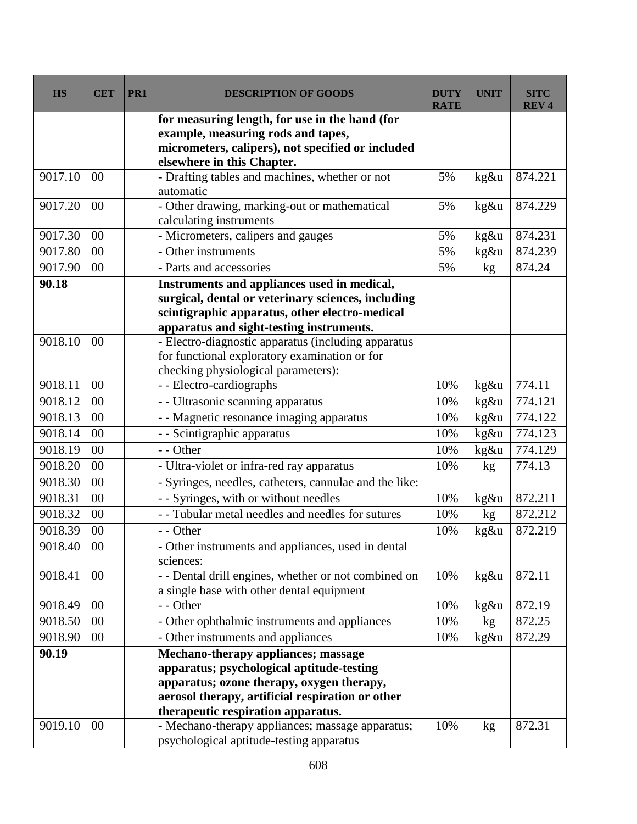| <b>HS</b> | <b>CET</b>     | PR <sub>1</sub> | <b>DESCRIPTION OF GOODS</b>                                                                                                               | DUTY<br><b>RATE</b> | <b>UNIT</b>     | SITC<br><b>REV4</b> |
|-----------|----------------|-----------------|-------------------------------------------------------------------------------------------------------------------------------------------|---------------------|-----------------|---------------------|
|           |                |                 | for measuring length, for use in the hand (for<br>example, measuring rods and tapes,<br>micrometers, calipers), not specified or included |                     |                 |                     |
|           |                |                 | elsewhere in this Chapter.                                                                                                                |                     |                 |                     |
| 9017.10   | 00             |                 | - Drafting tables and machines, whether or not<br>automatic                                                                               | 5%                  | kg&u            | 874.221             |
| 9017.20   | 0 <sup>0</sup> |                 | - Other drawing, marking-out or mathematical<br>calculating instruments                                                                   | 5%                  | kg&u            | 874.229             |
| 9017.30   | 00             |                 | - Micrometers, calipers and gauges                                                                                                        | 5%                  | kg&u            | 874.231             |
| 9017.80   | $00\,$         |                 | - Other instruments                                                                                                                       | 5%                  | kg&u            | 874.239             |
| 9017.90   | 00             |                 | - Parts and accessories                                                                                                                   | 5%                  | kg              | 874.24              |
| 90.18     |                |                 | Instruments and appliances used in medical,                                                                                               |                     |                 |                     |
|           |                |                 | surgical, dental or veterinary sciences, including                                                                                        |                     |                 |                     |
|           |                |                 | scintigraphic apparatus, other electro-medical                                                                                            |                     |                 |                     |
| 9018.10   | 0 <sup>0</sup> |                 | apparatus and sight-testing instruments.<br>- Electro-diagnostic apparatus (including apparatus                                           |                     |                 |                     |
|           |                |                 | for functional exploratory examination or for                                                                                             |                     |                 |                     |
|           |                |                 | checking physiological parameters):                                                                                                       |                     |                 |                     |
| 9018.11   | 00             |                 | - - Electro-cardiographs                                                                                                                  | 10%                 | kg&u            | 774.11              |
| 9018.12   | 00             |                 | - - Ultrasonic scanning apparatus                                                                                                         | 10%                 | kg&u            | 774.121             |
| 9018.13   | 00             |                 | - - Magnetic resonance imaging apparatus                                                                                                  | 10%                 | kg&u            | 774.122             |
| 9018.14   | 00             |                 | - - Scintigraphic apparatus                                                                                                               | 10%                 | kg&u            | 774.123             |
| 9018.19   | 00             |                 | - - Other                                                                                                                                 | 10%                 | kg&u            | 774.129             |
| 9018.20   | $00\,$         |                 | - Ultra-violet or infra-red ray apparatus                                                                                                 | 10%                 | kg              | 774.13              |
| 9018.30   | 00             |                 | - Syringes, needles, catheters, cannulae and the like:                                                                                    |                     |                 |                     |
| 9018.31   | 00             |                 | - - Syringes, with or without needles                                                                                                     | 10%                 | kg&u            | 872.211             |
| 9018.32   | 00             |                 | - - Tubular metal needles and needles for sutures                                                                                         | 10%                 | kg              | 872.212             |
| 9018.39   | 00             |                 | - - Other                                                                                                                                 | 10%                 | kg&u            | 872.219             |
| 9018.40   | $00\,$         |                 | - Other instruments and appliances, used in dental<br>sciences:                                                                           |                     |                 |                     |
| 9018.41   | $00\,$         |                 | - - Dental drill engines, whether or not combined on<br>a single base with other dental equipment                                         | 10%                 | kg&u            | 872.11              |
| 9018.49   | $00\,$         |                 | - - Other                                                                                                                                 | 10%                 | kg&u            | 872.19              |
| 9018.50   | $00\,$         |                 | - Other ophthalmic instruments and appliances                                                                                             | 10%                 | kg              | 872.25              |
| 9018.90   | 00             |                 | - Other instruments and appliances                                                                                                        | 10%                 | kg&u            | 872.29              |
| 90.19     |                |                 | Mechano-therapy appliances; massage                                                                                                       |                     |                 |                     |
|           |                |                 | apparatus; psychological aptitude-testing                                                                                                 |                     |                 |                     |
|           |                |                 | apparatus; ozone therapy, oxygen therapy,                                                                                                 |                     |                 |                     |
|           |                |                 | aerosol therapy, artificial respiration or other                                                                                          |                     |                 |                     |
|           |                |                 | therapeutic respiration apparatus.                                                                                                        |                     |                 |                     |
| 9019.10   | $00\,$         |                 | - Mechano-therapy appliances; massage apparatus;<br>psychological aptitude-testing apparatus                                              | 10%                 | kg <sub>2</sub> | 872.31              |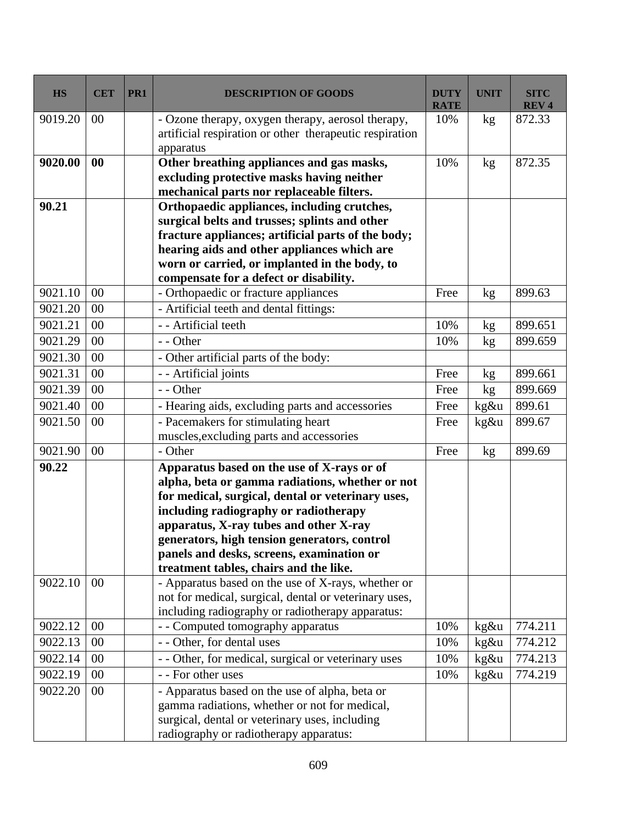| <b>HS</b> | <b>CET</b> | PR <sub>1</sub> | <b>DESCRIPTION OF GOODS</b>                                                                                                                                                                                                                                                                                                                                                  | <b>DUTY</b><br><b>RATE</b> | <b>UNIT</b> | <b>SITC</b><br><b>REV4</b> |
|-----------|------------|-----------------|------------------------------------------------------------------------------------------------------------------------------------------------------------------------------------------------------------------------------------------------------------------------------------------------------------------------------------------------------------------------------|----------------------------|-------------|----------------------------|
| 9019.20   | 00         |                 | - Ozone therapy, oxygen therapy, aerosol therapy,<br>artificial respiration or other therapeutic respiration<br>apparatus                                                                                                                                                                                                                                                    | 10%                        | kg          | 872.33                     |
| 9020.00   | 00         |                 | Other breathing appliances and gas masks,<br>excluding protective masks having neither<br>mechanical parts nor replaceable filters.                                                                                                                                                                                                                                          | 10%                        | kg          | 872.35                     |
| 90.21     |            |                 | Orthopaedic appliances, including crutches,<br>surgical belts and trusses; splints and other<br>fracture appliances; artificial parts of the body;<br>hearing aids and other appliances which are<br>worn or carried, or implanted in the body, to<br>compensate for a defect or disability.                                                                                 |                            |             |                            |
| 9021.10   | 00         |                 | - Orthopaedic or fracture appliances                                                                                                                                                                                                                                                                                                                                         | Free                       | kg          | 899.63                     |
| 9021.20   | 00         |                 | - Artificial teeth and dental fittings:                                                                                                                                                                                                                                                                                                                                      |                            |             |                            |
| 9021.21   | 00         |                 | - - Artificial teeth                                                                                                                                                                                                                                                                                                                                                         | 10%                        | kg          | 899.651                    |
| 9021.29   | 00         |                 | - - Other                                                                                                                                                                                                                                                                                                                                                                    | 10%                        | kg          | 899.659                    |
| 9021.30   | 00         |                 | - Other artificial parts of the body:                                                                                                                                                                                                                                                                                                                                        |                            |             |                            |
| 9021.31   | 00         |                 | - - Artificial joints                                                                                                                                                                                                                                                                                                                                                        | Free                       | kg          | 899.661                    |
| 9021.39   | 00         |                 | - - Other                                                                                                                                                                                                                                                                                                                                                                    | Free                       | kg          | 899.669                    |
| 9021.40   | 00         |                 | - Hearing aids, excluding parts and accessories                                                                                                                                                                                                                                                                                                                              | Free                       | kg&u        | 899.61                     |
| 9021.50   | 00         |                 | - Pacemakers for stimulating heart                                                                                                                                                                                                                                                                                                                                           | Free                       | kg&u        | 899.67                     |
|           |            |                 | muscles, excluding parts and accessories                                                                                                                                                                                                                                                                                                                                     |                            |             |                            |
| 9021.90   | 00         |                 | - Other                                                                                                                                                                                                                                                                                                                                                                      | Free                       | kg          | 899.69                     |
| 90.22     |            |                 | Apparatus based on the use of X-rays or of<br>alpha, beta or gamma radiations, whether or not<br>for medical, surgical, dental or veterinary uses,<br>including radiography or radiotherapy<br>apparatus, X-ray tubes and other X-ray<br>generators, high tension generators, control<br>panels and desks, screens, examination or<br>treatment tables, chairs and the like. |                            |             |                            |
| 9022.10   | 00         |                 | - Apparatus based on the use of X-rays, whether or<br>not for medical, surgical, dental or veterinary uses,<br>including radiography or radiotherapy apparatus:                                                                                                                                                                                                              |                            |             |                            |
| 9022.12   | 00         |                 | - - Computed tomography apparatus                                                                                                                                                                                                                                                                                                                                            | 10%                        | kg&u        | 774.211                    |
| 9022.13   | 00         |                 | - - Other, for dental uses                                                                                                                                                                                                                                                                                                                                                   | 10%                        | kg&u        | 774.212                    |
| 9022.14   | 00         |                 | - - Other, for medical, surgical or veterinary uses                                                                                                                                                                                                                                                                                                                          | 10%                        | kg&u        | 774.213                    |
| 9022.19   | 00         |                 | - - For other uses                                                                                                                                                                                                                                                                                                                                                           | 10%                        | $kg\&u$     | 774.219                    |
| 9022.20   | $00\,$     |                 | - Apparatus based on the use of alpha, beta or<br>gamma radiations, whether or not for medical,<br>surgical, dental or veterinary uses, including<br>radiography or radiotherapy apparatus:                                                                                                                                                                                  |                            |             |                            |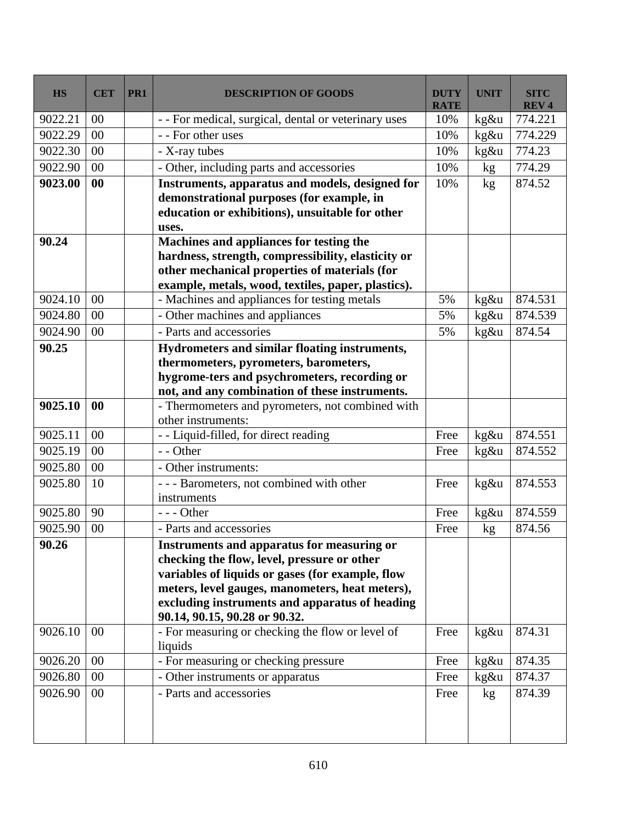| <b>HS</b> | <b>CET</b> | PR1 | <b>DESCRIPTION OF GOODS</b>                                                                         | <b>DUTY</b><br><b>RATE</b> | <b>UNIT</b>     | <b>SITC</b><br><b>REV4</b> |
|-----------|------------|-----|-----------------------------------------------------------------------------------------------------|----------------------------|-----------------|----------------------------|
| 9022.21   | 00         |     | - - For medical, surgical, dental or veterinary uses                                                | 10%                        | kg&u            | 774.221                    |
| 9022.29   | $00\,$     |     | - - For other uses                                                                                  | 10%                        | kg&u            | 774.229                    |
| 9022.30   | $00\,$     |     | - X-ray tubes                                                                                       | 10%                        | kg&u            | 774.23                     |
| 9022.90   | 00         |     | - Other, including parts and accessories                                                            | 10%                        | kg              | 774.29                     |
| 9023.00   | 00         |     | Instruments, apparatus and models, designed for                                                     | 10%                        | kg              | 874.52                     |
|           |            |     | demonstrational purposes (for example, in                                                           |                            |                 |                            |
|           |            |     | education or exhibitions), unsuitable for other                                                     |                            |                 |                            |
|           |            |     | uses.                                                                                               |                            |                 |                            |
| 90.24     |            |     | Machines and appliances for testing the                                                             |                            |                 |                            |
|           |            |     | hardness, strength, compressibility, elasticity or                                                  |                            |                 |                            |
|           |            |     | other mechanical properties of materials (for<br>example, metals, wood, textiles, paper, plastics). |                            |                 |                            |
| 9024.10   | $00\,$     |     | - Machines and appliances for testing metals                                                        | 5%                         | kg&u            | 874.531                    |
| 9024.80   | $00\,$     |     | - Other machines and appliances                                                                     | 5%                         | kg&u            | 874.539                    |
| 9024.90   | 00         |     | - Parts and accessories                                                                             | 5%                         | kg&u            | 874.54                     |
| 90.25     |            |     | Hydrometers and similar floating instruments,                                                       |                            |                 |                            |
|           |            |     | thermometers, pyrometers, barometers,                                                               |                            |                 |                            |
|           |            |     | hygrome-ters and psychrometers, recording or                                                        |                            |                 |                            |
|           |            |     | not, and any combination of these instruments.                                                      |                            |                 |                            |
| 9025.10   | 00         |     | - Thermometers and pyrometers, not combined with                                                    |                            |                 |                            |
|           |            |     | other instruments:                                                                                  |                            |                 |                            |
| 9025.11   | $00\,$     |     | - - Liquid-filled, for direct reading                                                               | Free                       | kg&u            | 874.551                    |
| 9025.19   | $00\,$     |     | - - Other                                                                                           | Free                       | kg&u            | 874.552                    |
| 9025.80   | 00         |     | - Other instruments:                                                                                |                            |                 |                            |
| 9025.80   | 10         |     | --- Barometers, not combined with other<br>instruments                                              | Free                       | $kg\&u$         | 874.553                    |
| 9025.80   | 90         |     | $--$ Other                                                                                          | Free                       | kg&u            | 874.559                    |
| 9025.90   | 00         |     | - Parts and accessories                                                                             | Free                       | kg              | 874.56                     |
| 90.26     |            |     | Instruments and apparatus for measuring or                                                          |                            |                 |                            |
|           |            |     | checking the flow, level, pressure or other                                                         |                            |                 |                            |
|           |            |     | variables of liquids or gases (for example, flow                                                    |                            |                 |                            |
|           |            |     | meters, level gauges, manometers, heat meters),                                                     |                            |                 |                            |
|           |            |     | excluding instruments and apparatus of heading                                                      |                            |                 |                            |
|           |            |     | 90.14, 90.15, 90.28 or 90.32.                                                                       |                            |                 |                            |
| 9026.10   | 00         |     | - For measuring or checking the flow or level of                                                    | Free                       | kg&u            | 874.31                     |
|           |            |     | liquids                                                                                             |                            |                 |                            |
| 9026.20   | $00\,$     |     | - For measuring or checking pressure                                                                | Free                       | kg&u            | 874.35                     |
| 9026.80   | $00\,$     |     | - Other instruments or apparatus                                                                    | Free                       | kg&u            | 874.37                     |
| 9026.90   | $00\,$     |     | - Parts and accessories                                                                             | Free                       | kg <sub>2</sub> | 874.39                     |
|           |            |     |                                                                                                     |                            |                 |                            |
|           |            |     |                                                                                                     |                            |                 |                            |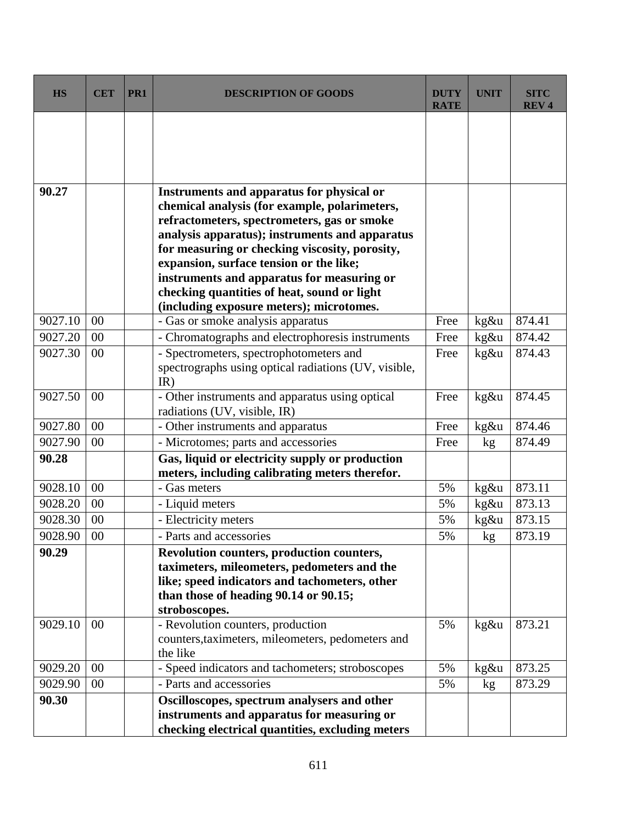| <b>HS</b> | <b>CET</b> | PR1 | <b>DESCRIPTION OF GOODS</b>                                                               | <b>DUTY</b><br><b>RATE</b> | <b>UNIT</b> | <b>SITC</b><br><b>REV4</b> |
|-----------|------------|-----|-------------------------------------------------------------------------------------------|----------------------------|-------------|----------------------------|
|           |            |     |                                                                                           |                            |             |                            |
|           |            |     |                                                                                           |                            |             |                            |
|           |            |     |                                                                                           |                            |             |                            |
| 90.27     |            |     | Instruments and apparatus for physical or                                                 |                            |             |                            |
|           |            |     | chemical analysis (for example, polarimeters,                                             |                            |             |                            |
|           |            |     | refractometers, spectrometers, gas or smoke                                               |                            |             |                            |
|           |            |     | analysis apparatus); instruments and apparatus                                            |                            |             |                            |
|           |            |     | for measuring or checking viscosity, porosity,<br>expansion, surface tension or the like; |                            |             |                            |
|           |            |     | instruments and apparatus for measuring or                                                |                            |             |                            |
|           |            |     | checking quantities of heat, sound or light                                               |                            |             |                            |
|           |            |     | (including exposure meters); microtomes.                                                  |                            |             |                            |
| 9027.10   | 00         |     | - Gas or smoke analysis apparatus                                                         | Free                       | kg&u        | 874.41                     |
| 9027.20   | 00         |     | - Chromatographs and electrophoresis instruments                                          | Free                       | kg&u        | 874.42                     |
| 9027.30   | 00         |     | - Spectrometers, spectrophotometers and                                                   | Free                       | kg&u        | 874.43                     |
|           |            |     | spectrographs using optical radiations (UV, visible,                                      |                            |             |                            |
|           |            |     | IR)                                                                                       |                            |             |                            |
| 9027.50   | 00         |     | - Other instruments and apparatus using optical                                           | Free                       | kg&u        | 874.45                     |
|           |            |     | radiations (UV, visible, IR)                                                              |                            |             |                            |
| 9027.80   | 00         |     | - Other instruments and apparatus                                                         | Free                       | kg&u        | 874.46                     |
| 9027.90   | 00         |     | - Microtomes; parts and accessories                                                       | Free                       | kg          | 874.49                     |
| 90.28     |            |     | Gas, liquid or electricity supply or production                                           |                            |             |                            |
|           |            |     | meters, including calibrating meters therefor.                                            |                            |             |                            |
| 9028.10   | 00         |     | - Gas meters                                                                              | 5%                         | kg&u        | 873.11                     |
| 9028.20   | 00         |     | - Liquid meters                                                                           | 5%                         | kg&u        | 873.13                     |
| 9028.30   | 00         |     | - Electricity meters                                                                      | 5%                         | kg&u        | 873.15                     |
| 9028.90   | 00         |     | - Parts and accessories                                                                   | 5%                         | $k$ g       | 873.19                     |
| 90.29     |            |     | Revolution counters, production counters,                                                 |                            |             |                            |
|           |            |     | taximeters, mileometers, pedometers and the                                               |                            |             |                            |
|           |            |     | like; speed indicators and tachometers, other<br>than those of heading 90.14 or 90.15;    |                            |             |                            |
|           |            |     | stroboscopes.                                                                             |                            |             |                            |
| 9029.10   | $00\,$     |     | - Revolution counters, production                                                         | 5%                         | kg&u        | 873.21                     |
|           |            |     | counters, taximeters, mileometers, pedometers and                                         |                            |             |                            |
|           |            |     | the like                                                                                  |                            |             |                            |
| 9029.20   | 00         |     | - Speed indicators and tachometers; stroboscopes                                          | 5%                         | kg&u        | 873.25                     |
| 9029.90   | 00         |     | - Parts and accessories                                                                   | 5%                         | kg          | 873.29                     |
| 90.30     |            |     | Oscilloscopes, spectrum analysers and other                                               |                            |             |                            |
|           |            |     | instruments and apparatus for measuring or                                                |                            |             |                            |
|           |            |     | checking electrical quantities, excluding meters                                          |                            |             |                            |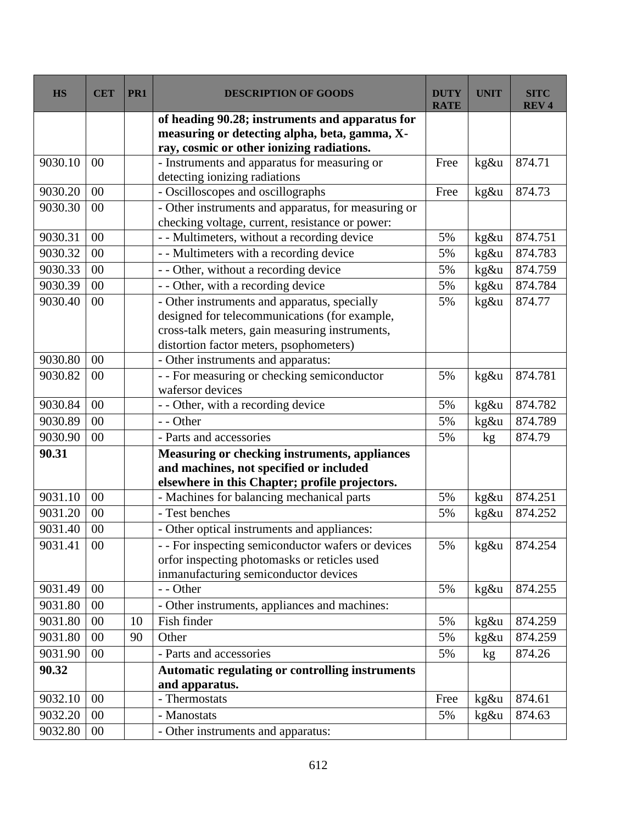| <b>HS</b> | <b>CET</b> | PR1 | <b>DESCRIPTION OF GOODS</b>                            | <b>DUTY</b><br><b>RATE</b> | <b>UNIT</b> | <b>SITC</b><br><b>REV<sub>4</sub></b> |
|-----------|------------|-----|--------------------------------------------------------|----------------------------|-------------|---------------------------------------|
|           |            |     | of heading 90.28; instruments and apparatus for        |                            |             |                                       |
|           |            |     | measuring or detecting alpha, beta, gamma, X-          |                            |             |                                       |
|           |            |     | ray, cosmic or other ionizing radiations.              |                            |             |                                       |
| 9030.10   | 00         |     | - Instruments and apparatus for measuring or           | Free                       | kg&u        | 874.71                                |
|           |            |     | detecting ionizing radiations                          |                            |             |                                       |
| 9030.20   | 00         |     | - Oscilloscopes and oscillographs                      | Free                       | kg&u        | 874.73                                |
| 9030.30   | 00         |     | - Other instruments and apparatus, for measuring or    |                            |             |                                       |
|           |            |     | checking voltage, current, resistance or power:        |                            |             |                                       |
| 9030.31   | 00         |     | - - Multimeters, without a recording device            | 5%                         | kg&u        | 874.751                               |
| 9030.32   | 00         |     | - - Multimeters with a recording device                | 5%                         | kg&u        | 874.783                               |
| 9030.33   | 00         |     | - - Other, without a recording device                  | 5%                         | kg&u        | 874.759                               |
| 9030.39   | 00         |     | - - Other, with a recording device                     | 5%                         | kg&u        | 874.784                               |
| 9030.40   | 00         |     | - Other instruments and apparatus, specially           | 5%                         | kg&u        | 874.77                                |
|           |            |     | designed for telecommunications (for example,          |                            |             |                                       |
|           |            |     | cross-talk meters, gain measuring instruments,         |                            |             |                                       |
|           |            |     | distortion factor meters, psophometers)                |                            |             |                                       |
| 9030.80   | $00\,$     |     | - Other instruments and apparatus:                     |                            |             |                                       |
| 9030.82   | 00         |     | - - For measuring or checking semiconductor            | 5%                         | kg&u        | 874.781                               |
|           |            |     | wafersor devices                                       |                            |             |                                       |
| 9030.84   | 00         |     | - - Other, with a recording device                     | 5%                         | kg&u        | 874.782                               |
| 9030.89   | 00         |     | - - Other                                              | 5%                         | kg&u        | 874.789                               |
| 9030.90   | 00         |     | - Parts and accessories                                | 5%                         | kg          | 874.79                                |
| 90.31     |            |     | Measuring or checking instruments, appliances          |                            |             |                                       |
|           |            |     | and machines, not specified or included                |                            |             |                                       |
|           |            |     | elsewhere in this Chapter; profile projectors.         |                            |             |                                       |
| 9031.10   | 00         |     | - Machines for balancing mechanical parts              | 5%                         | kg&u        | 874.251                               |
| 9031.20   | 00         |     | - Test benches                                         | 5%                         | kg&u        | 874.252                               |
| 9031.40   | 00         |     | - Other optical instruments and appliances:            |                            |             |                                       |
| 9031.41   | $00\,$     |     | - - For inspecting semiconductor wafers or devices     | 5%                         | kg&u        | 874.254                               |
|           |            |     | orfor inspecting photomasks or reticles used           |                            |             |                                       |
|           |            |     | inmanufacturing semiconductor devices                  |                            |             |                                       |
| 9031.49   | 00         |     | - - Other                                              | 5%                         | kg&u        | 874.255                               |
| 9031.80   | 00         |     | - Other instruments, appliances and machines:          |                            |             |                                       |
| 9031.80   | 00         | 10  | Fish finder                                            | 5%                         | kg&u        | 874.259                               |
| 9031.80   | 00         | 90  | Other                                                  | 5%                         | kg&u        | 874.259                               |
| 9031.90   | $00\,$     |     | - Parts and accessories                                | 5%                         | kg          | 874.26                                |
| 90.32     |            |     | <b>Automatic regulating or controlling instruments</b> |                            |             |                                       |
|           |            |     | and apparatus.                                         |                            |             |                                       |
| 9032.10   | 00         |     | - Thermostats                                          | Free                       | kg&u        | 874.61                                |
| 9032.20   | $00\,$     |     | - Manostats                                            | 5%                         | kg&u        | 874.63                                |
| 9032.80   | 00         |     | - Other instruments and apparatus:                     |                            |             |                                       |